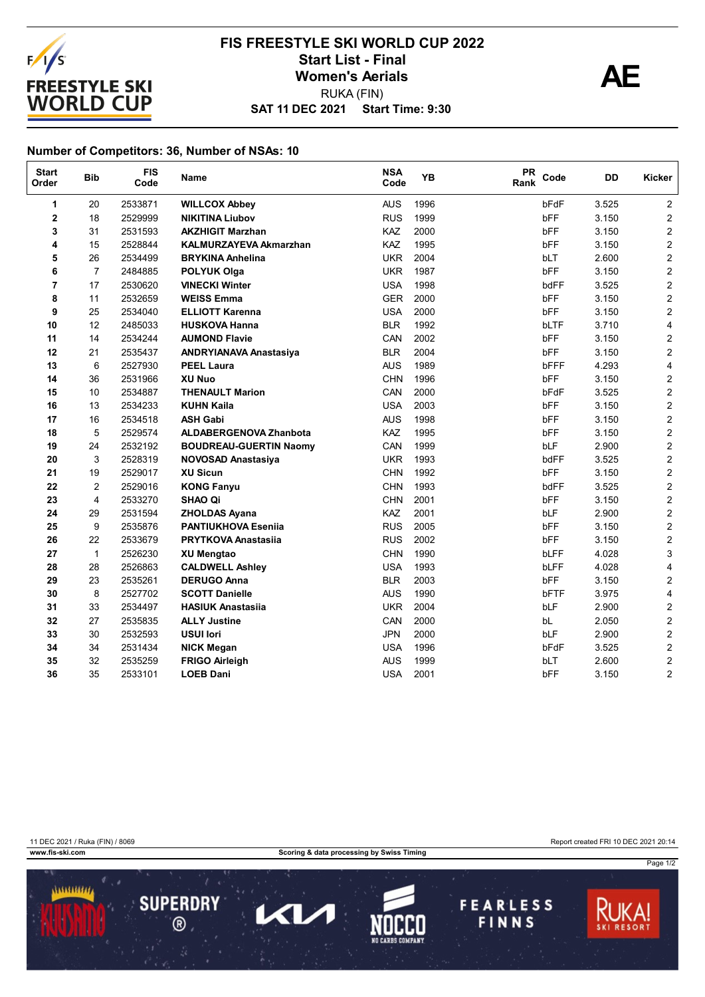

## **SAT 11 DEC 2021 Start Time: 9:30 FIS FREESTYLE SKI WORLD CUP 2022** Start List - Final<br>Women's Aerials<br>PUKA (FIN) RUKA (FIN)

## **Number of Competitors: 36, Number of NSAs: 10**

| <b>Start</b><br>Order | <b>Bib</b>     | <b>FIS</b><br>Code | Name                          | <b>NSA</b><br>Code | <b>YB</b> | <b>PR</b><br>Rank | Code        | DD    | Kicker                  |
|-----------------------|----------------|--------------------|-------------------------------|--------------------|-----------|-------------------|-------------|-------|-------------------------|
| 1                     | 20             | 2533871            | <b>WILLCOX Abbey</b>          | <b>AUS</b>         | 1996      |                   | bFdF        | 3.525 | $\overline{2}$          |
| 2                     | 18             | 2529999            | <b>NIKITINA Liubov</b>        | <b>RUS</b>         | 1999      |                   | <b>bFF</b>  | 3.150 | $\overline{2}$          |
| 3                     | 31             | 2531593            | <b>AKZHIGIT Marzhan</b>       | KAZ                | 2000      |                   | bFF         | 3.150 | $\overline{\mathbf{c}}$ |
| 4                     | 15             | 2528844            | <b>KALMURZAYEVA Akmarzhan</b> | KAZ                | 1995      |                   | bFF         | 3.150 | $\overline{2}$          |
| 5                     | 26             | 2534499            | <b>BRYKINA Anhelina</b>       | <b>UKR</b>         | 2004      |                   | bLT         | 2.600 | $\overline{2}$          |
| 6                     | $\overline{7}$ | 2484885            | <b>POLYUK Olga</b>            | <b>UKR</b>         | 1987      |                   | bFF         | 3.150 | $\overline{c}$          |
| 7                     | 17             | 2530620            | <b>VINECKI Winter</b>         | <b>USA</b>         | 1998      |                   | bdFF        | 3.525 | $\mathbf{2}$            |
| 8                     | 11             | 2532659            | <b>WEISS Emma</b>             | <b>GER</b>         | 2000      |                   | bFF         | 3.150 | $\mathbf{2}$            |
| 9                     | 25             | 2534040            | <b>ELLIOTT Karenna</b>        | <b>USA</b>         | 2000      |                   | <b>bFF</b>  | 3.150 | $\overline{2}$          |
| 10                    | 12             | 2485033            | <b>HUSKOVA Hanna</b>          | <b>BLR</b>         | 1992      |                   | <b>bLTF</b> | 3.710 | 4                       |
| 11                    | 14             | 2534244            | <b>AUMOND Flavie</b>          | CAN                | 2002      |                   | bFF         | 3.150 | 2                       |
| 12                    | 21             | 2535437            | <b>ANDRYIANAVA Anastasiya</b> | <b>BLR</b>         | 2004      |                   | bFF         | 3.150 | $\overline{c}$          |
| 13                    | 6              | 2527930            | <b>PEEL Laura</b>             | <b>AUS</b>         | 1989      |                   | bFFF        | 4.293 | 4                       |
| 14                    | 36             | 2531966            | <b>XU Nuo</b>                 | <b>CHN</b>         | 1996      |                   | bFF         | 3.150 | $\overline{2}$          |
| 15                    | 10             | 2534887            | <b>THENAULT Marion</b>        | CAN                | 2000      |                   | bFdF        | 3.525 | $\overline{\mathbf{c}}$ |
| 16                    | 13             | 2534233            | <b>KUHN Kaila</b>             | <b>USA</b>         | 2003      |                   | bFF         | 3.150 | $\overline{c}$          |
| 17                    | 16             | 2534518            | <b>ASH Gabi</b>               | <b>AUS</b>         | 1998      |                   | bFF         | 3.150 | $\overline{c}$          |
| 18                    | 5              | 2529574            | <b>ALDABERGENOVA Zhanbota</b> | KAZ                | 1995      |                   | bFF         | 3.150 | $\overline{2}$          |
| 19                    | 24             | 2532192            | <b>BOUDREAU-GUERTIN Naomy</b> | CAN                | 1999      |                   | bLF         | 2.900 | $\overline{c}$          |
| 20                    | 3              | 2528319            | <b>NOVOSAD Anastasiya</b>     | <b>UKR</b>         | 1993      |                   | bdFF        | 3.525 | $\overline{2}$          |
| 21                    | 19             | 2529017            | <b>XU Sicun</b>               | <b>CHN</b>         | 1992      |                   | bFF         | 3.150 | $\overline{c}$          |
| 22                    | 2              | 2529016            | <b>KONG Fanyu</b>             | <b>CHN</b>         | 1993      |                   | bdFF        | 3.525 | $\overline{c}$          |
| 23                    | 4              | 2533270            | <b>SHAO Qi</b>                | <b>CHN</b>         | 2001      |                   | bFF         | 3.150 | $\overline{c}$          |
| 24                    | 29             | 2531594            | <b>ZHOLDAS Ayana</b>          | KAZ                | 2001      |                   | bLF         | 2.900 | $\mathbf{2}$            |
| 25                    | 9              | 2535876            | <b>PANTIUKHOVA Esenija</b>    | <b>RUS</b>         | 2005      |                   | bFF         | 3.150 | $\mathbf{2}$            |
| 26                    | 22             | 2533679            | <b>PRYTKOVA Anastasija</b>    | <b>RUS</b>         | 2002      |                   | bFF         | 3.150 | $\mathbf{2}$            |
| 27                    | $\mathbf{1}$   | 2526230            | <b>XU Mengtao</b>             | <b>CHN</b>         | 1990      |                   | <b>bLFF</b> | 4.028 | 3                       |
| 28                    | 28             | 2526863            | <b>CALDWELL Ashley</b>        | <b>USA</b>         | 1993      |                   | bLFF        | 4.028 | 4                       |
| 29                    | 23             | 2535261            | <b>DERUGO Anna</b>            | <b>BLR</b>         | 2003      |                   | bFF         | 3.150 | $\overline{2}$          |
| 30                    | 8              | 2527702            | <b>SCOTT Danielle</b>         | <b>AUS</b>         | 1990      |                   | bFTF        | 3.975 | 4                       |
| 31                    | 33             | 2534497            | <b>HASIUK Anastasija</b>      | <b>UKR</b>         | 2004      |                   | bLF         | 2.900 | $\overline{\mathbf{c}}$ |
| 32                    | 27             | 2535835            | <b>ALLY Justine</b>           | CAN                | 2000      |                   | bL          | 2.050 | $\overline{2}$          |
| 33                    | 30             | 2532593            | <b>USUI lori</b>              | <b>JPN</b>         | 2000      |                   | bLF         | 2.900 | $\overline{2}$          |
| 34                    | 34             | 2531434            | <b>NICK Megan</b>             | <b>USA</b>         | 1996      |                   | bFdF        | 3.525 | $\overline{\mathbf{c}}$ |
| 35                    | 32             | 2535259            | <b>FRIGO Airleigh</b>         | <b>AUS</b>         | 1999      |                   | bLT         | 2.600 | $\overline{\mathbf{c}}$ |
| 36                    | 35             | 2533101            | <b>LOEB Dani</b>              | <b>USA</b>         | 2001      |                   | bFF         | 3.150 | $\overline{2}$          |

11 DEC 2021 / Ruka (FIN) / 8069 Report created FRI 10 DEC 2021 20:14